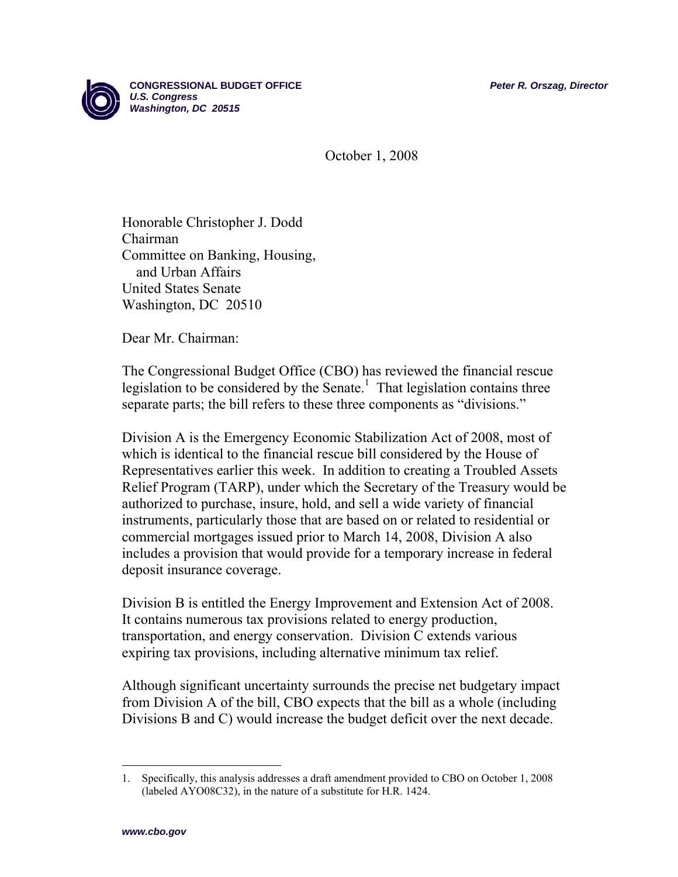

October 1, 2008

Honorable Christopher J. Dodd Chairman Committee on Banking, Housing, and Urban Affairs United States Senate Washington, DC 20510

Dear Mr. Chairman:

The Congressional Budget Office (CBO) has reviewed the financial rescue legislation to be considered by the Senate.<sup>1</sup> That legislation contains three separate parts; the bill refers to these three components as "divisions."

Division A is the Emergency Economic Stabilization Act of 2008, most of which is identical to the financial rescue bill considered by the House of Representatives earlier this week. In addition to creating a Troubled Assets Relief Program (TARP), under which the Secretary of the Treasury would be authorized to purchase, insure, hold, and sell a wide variety of financial instruments, particularly those that are based on or related to residential or commercial mortgages issued prior to March 14, 2008, Division A also includes a provision that would provide for a temporary increase in federal deposit insurance coverage.

Division B is entitled the Energy Improvement and Extension Act of 2008. It contains numerous tax provisions related to energy production, transportation, and energy conservation. Division C extends various expiring tax provisions, including alternative minimum tax relief.

Although significant uncertainty surrounds the precise net budgetary impact from Division A of the bill, CBO expects that the bill as a whole (including Divisions B and C) would increase the budget deficit over the next decade.

1

<sup>1.</sup> Specifically, this analysis addresses a draft amendment provided to CBO on October 1, 2008 (labeled AYO08C32), in the nature of a substitute for H.R. 1424.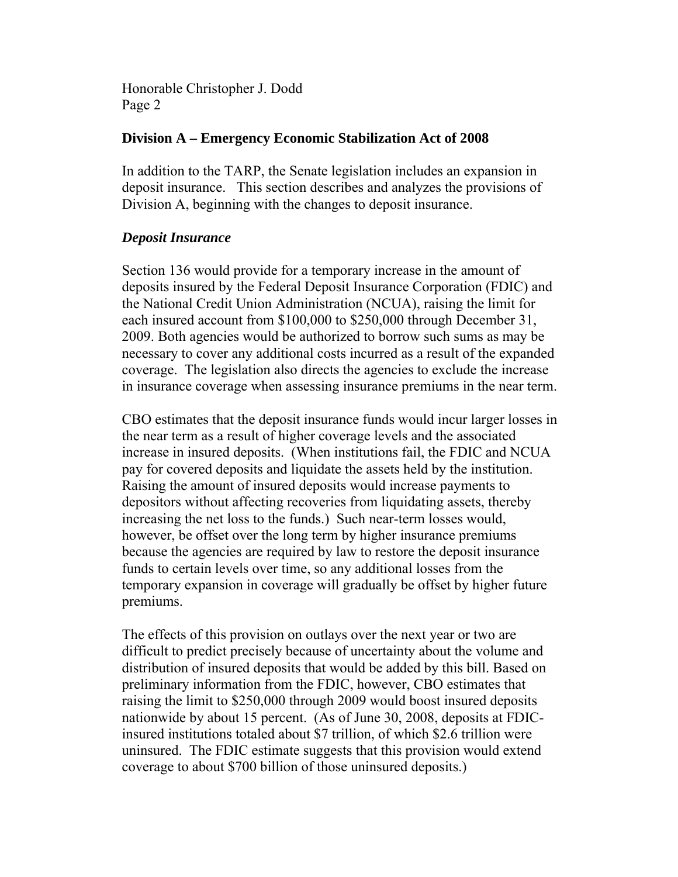#### **Division A – Emergency Economic Stabilization Act of 2008**

In addition to the TARP, the Senate legislation includes an expansion in deposit insurance. This section describes and analyzes the provisions of Division A, beginning with the changes to deposit insurance.

#### *Deposit Insurance*

Section 136 would provide for a temporary increase in the amount of deposits insured by the Federal Deposit Insurance Corporation (FDIC) and the National Credit Union Administration (NCUA), raising the limit for each insured account from \$100,000 to \$250,000 through December 31, 2009. Both agencies would be authorized to borrow such sums as may be necessary to cover any additional costs incurred as a result of the expanded coverage. The legislation also directs the agencies to exclude the increase in insurance coverage when assessing insurance premiums in the near term.

CBO estimates that the deposit insurance funds would incur larger losses in the near term as a result of higher coverage levels and the associated increase in insured deposits. (When institutions fail, the FDIC and NCUA pay for covered deposits and liquidate the assets held by the institution. Raising the amount of insured deposits would increase payments to depositors without affecting recoveries from liquidating assets, thereby increasing the net loss to the funds.) Such near-term losses would, however, be offset over the long term by higher insurance premiums because the agencies are required by law to restore the deposit insurance funds to certain levels over time, so any additional losses from the temporary expansion in coverage will gradually be offset by higher future premiums.

The effects of this provision on outlays over the next year or two are difficult to predict precisely because of uncertainty about the volume and distribution of insured deposits that would be added by this bill. Based on preliminary information from the FDIC, however, CBO estimates that raising the limit to \$250,000 through 2009 would boost insured deposits nationwide by about 15 percent. (As of June 30, 2008, deposits at FDICinsured institutions totaled about \$7 trillion, of which \$2.6 trillion were uninsured. The FDIC estimate suggests that this provision would extend coverage to about \$700 billion of those uninsured deposits.)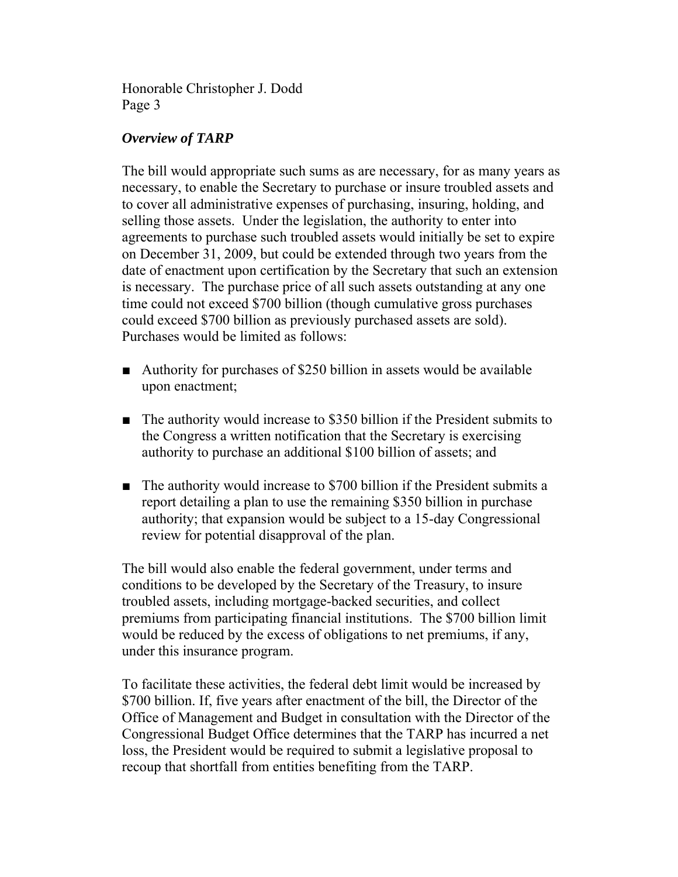# *Overview of TARP*

The bill would appropriate such sums as are necessary, for as many years as necessary, to enable the Secretary to purchase or insure troubled assets and to cover all administrative expenses of purchasing, insuring, holding, and selling those assets. Under the legislation, the authority to enter into agreements to purchase such troubled assets would initially be set to expire on December 31, 2009, but could be extended through two years from the date of enactment upon certification by the Secretary that such an extension is necessary. The purchase price of all such assets outstanding at any one time could not exceed \$700 billion (though cumulative gross purchases could exceed \$700 billion as previously purchased assets are sold). Purchases would be limited as follows:

- Authority for purchases of \$250 billion in assets would be available upon enactment;
- The authority would increase to \$350 billion if the President submits to the Congress a written notification that the Secretary is exercising authority to purchase an additional \$100 billion of assets; and
- The authority would increase to \$700 billion if the President submits a report detailing a plan to use the remaining \$350 billion in purchase authority; that expansion would be subject to a 15-day Congressional review for potential disapproval of the plan.

The bill would also enable the federal government, under terms and conditions to be developed by the Secretary of the Treasury, to insure troubled assets, including mortgage-backed securities, and collect premiums from participating financial institutions. The \$700 billion limit would be reduced by the excess of obligations to net premiums, if any, under this insurance program.

To facilitate these activities, the federal debt limit would be increased by \$700 billion. If, five years after enactment of the bill, the Director of the Office of Management and Budget in consultation with the Director of the Congressional Budget Office determines that the TARP has incurred a net loss, the President would be required to submit a legislative proposal to recoup that shortfall from entities benefiting from the TARP.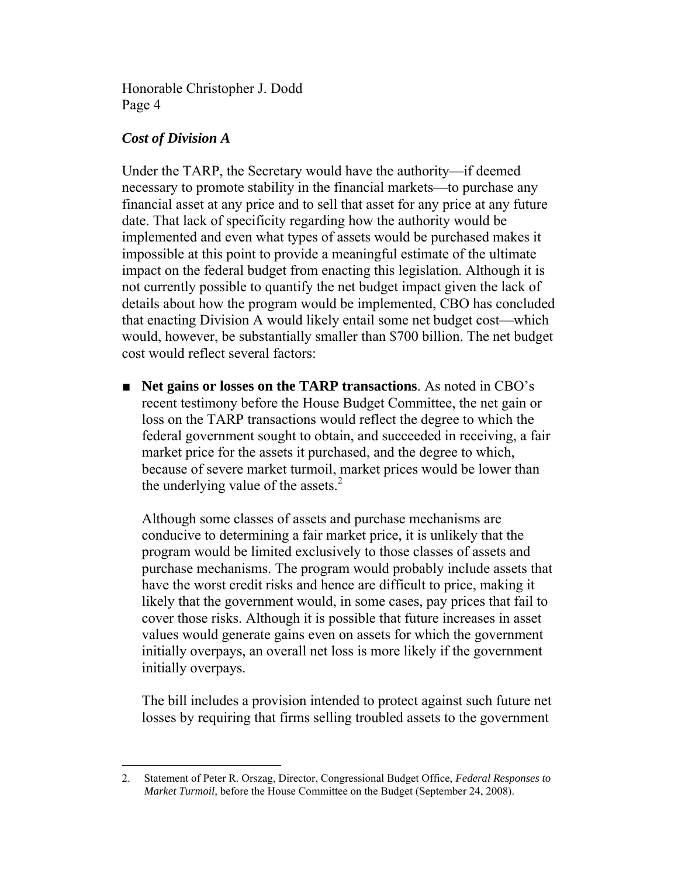## *Cost of Division A*

Under the TARP, the Secretary would have the authority—if deemed necessary to promote stability in the financial markets—to purchase any financial asset at any price and to sell that asset for any price at any future date. That lack of specificity regarding how the authority would be implemented and even what types of assets would be purchased makes it impossible at this point to provide a meaningful estimate of the ultimate impact on the federal budget from enacting this legislation. Although it is not currently possible to quantify the net budget impact given the lack of details about how the program would be implemented, CBO has concluded that enacting Division A would likely entail some net budget cost—which would, however, be substantially smaller than \$700 billion. The net budget cost would reflect several factors:

■ **Net gains or losses on the TARP transactions**. As noted in CBO's recent testimony before the House Budget Committee, the net gain or loss on the TARP transactions would reflect the degree to which the federal government sought to obtain, and succeeded in receiving, a fair market price for the assets it purchased, and the degree to which, because of severe market turmoil, market prices would be lower than the underlying value of the assets. $^{2}$ 

Although some classes of assets and purchase mechanisms are conducive to determining a fair market price, it is unlikely that the program would be limited exclusively to those classes of assets and purchase mechanisms. The program would probably include assets that have the worst credit risks and hence are difficult to price, making it likely that the government would, in some cases, pay prices that fail to cover those risks. Although it is possible that future increases in asset values would generate gains even on assets for which the government initially overpays, an overall net loss is more likely if the government initially overpays.

The bill includes a provision intended to protect against such future net losses by requiring that firms selling troubled assets to the government

<sup>1</sup> 2. Statement of Peter R. Orszag, Director, Congressional Budget Office, *Federal Responses to Market Turmoil,* before the House Committee on the Budget (September 24, 2008).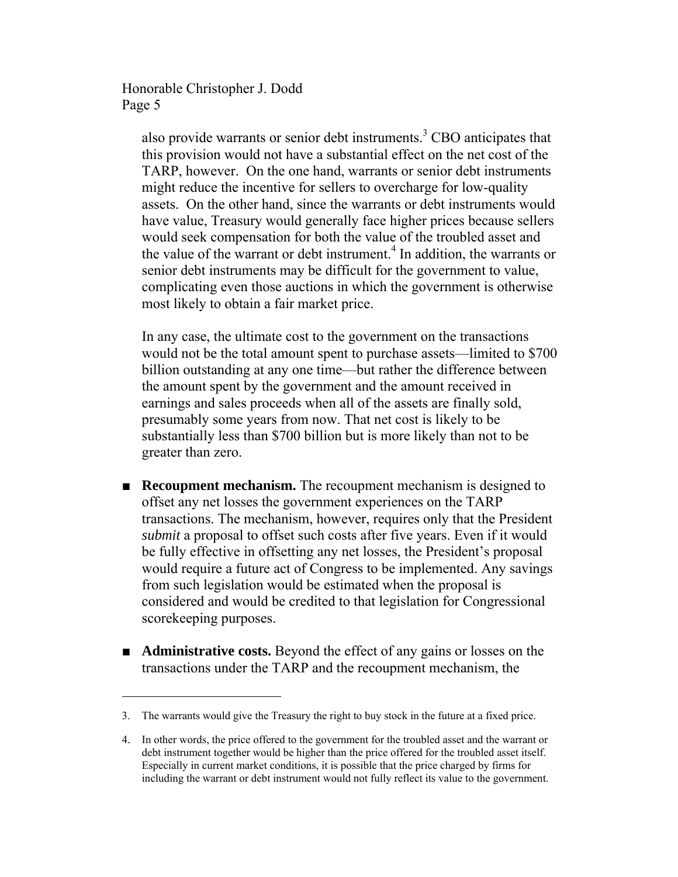1

also provide warrants or senior debt instruments.<sup>3</sup> CBO anticipates that this provision would not have a substantial effect on the net cost of the TARP, however. On the one hand, warrants or senior debt instruments might reduce the incentive for sellers to overcharge for low-quality assets. On the other hand, since the warrants or debt instruments would have value, Treasury would generally face higher prices because sellers would seek compensation for both the value of the troubled asset and the value of the warrant or debt instrument.<sup>4</sup> In addition, the warrants or senior debt instruments may be difficult for the government to value, complicating even those auctions in which the government is otherwise most likely to obtain a fair market price.

In any case, the ultimate cost to the government on the transactions would not be the total amount spent to purchase assets—limited to \$700 billion outstanding at any one time—but rather the difference between the amount spent by the government and the amount received in earnings and sales proceeds when all of the assets are finally sold, presumably some years from now. That net cost is likely to be substantially less than \$700 billion but is more likely than not to be greater than zero.

- **Recoupment mechanism.** The recoupment mechanism is designed to offset any net losses the government experiences on the TARP transactions. The mechanism, however, requires only that the President *submit* a proposal to offset such costs after five years. Even if it would be fully effective in offsetting any net losses, the President's proposal would require a future act of Congress to be implemented. Any savings from such legislation would be estimated when the proposal is considered and would be credited to that legislation for Congressional scorekeeping purposes.
- **Administrative costs.** Beyond the effect of any gains or losses on the transactions under the TARP and the recoupment mechanism, the

<sup>3.</sup> The warrants would give the Treasury the right to buy stock in the future at a fixed price.

<sup>4.</sup> In other words, the price offered to the government for the troubled asset and the warrant or debt instrument together would be higher than the price offered for the troubled asset itself. Especially in current market conditions, it is possible that the price charged by firms for including the warrant or debt instrument would not fully reflect its value to the government.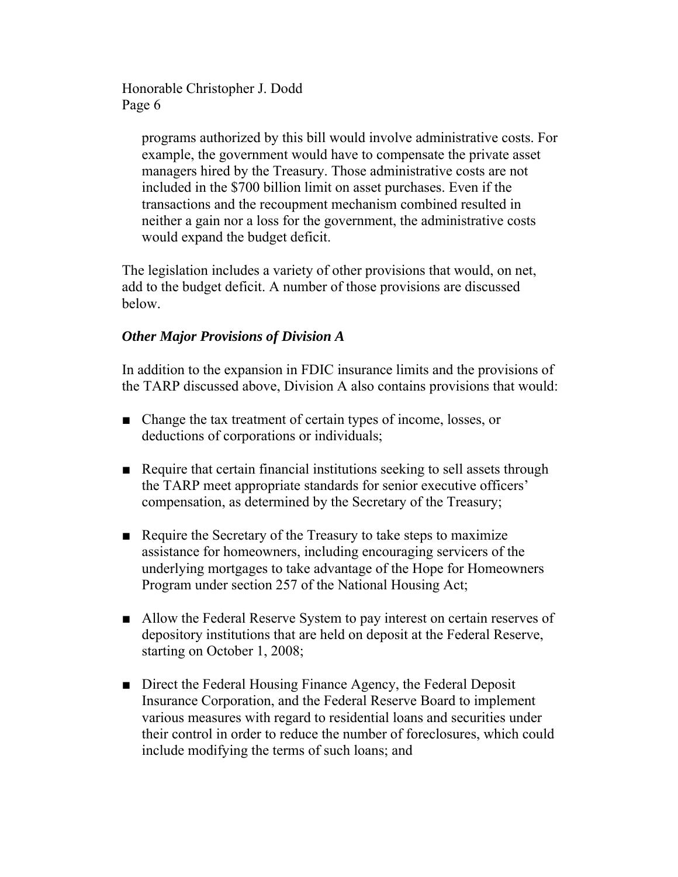> programs authorized by this bill would involve administrative costs. For example, the government would have to compensate the private asset managers hired by the Treasury. Those administrative costs are not included in the \$700 billion limit on asset purchases. Even if the transactions and the recoupment mechanism combined resulted in neither a gain nor a loss for the government, the administrative costs would expand the budget deficit.

The legislation includes a variety of other provisions that would, on net, add to the budget deficit. A number of those provisions are discussed below.

# *Other Major Provisions of Division A*

In addition to the expansion in FDIC insurance limits and the provisions of the TARP discussed above, Division A also contains provisions that would:

- Change the tax treatment of certain types of income, losses, or deductions of corporations or individuals;
- Require that certain financial institutions seeking to sell assets through the TARP meet appropriate standards for senior executive officers' compensation, as determined by the Secretary of the Treasury;
- Require the Secretary of the Treasury to take steps to maximize assistance for homeowners, including encouraging servicers of the underlying mortgages to take advantage of the Hope for Homeowners Program under section 257 of the National Housing Act;
- Allow the Federal Reserve System to pay interest on certain reserves of depository institutions that are held on deposit at the Federal Reserve, starting on October 1, 2008;
- Direct the Federal Housing Finance Agency, the Federal Deposit Insurance Corporation, and the Federal Reserve Board to implement various measures with regard to residential loans and securities under their control in order to reduce the number of foreclosures, which could include modifying the terms of such loans; and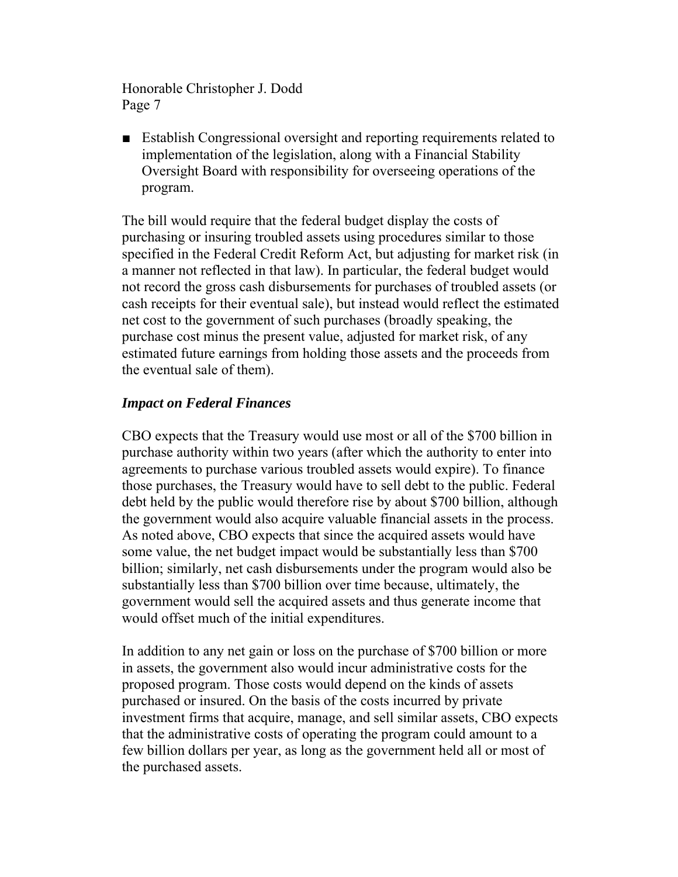■ Establish Congressional oversight and reporting requirements related to implementation of the legislation, along with a Financial Stability Oversight Board with responsibility for overseeing operations of the program.

The bill would require that the federal budget display the costs of purchasing or insuring troubled assets using procedures similar to those specified in the Federal Credit Reform Act, but adjusting for market risk (in a manner not reflected in that law). In particular, the federal budget would not record the gross cash disbursements for purchases of troubled assets (or cash receipts for their eventual sale), but instead would reflect the estimated net cost to the government of such purchases (broadly speaking, the purchase cost minus the present value, adjusted for market risk, of any estimated future earnings from holding those assets and the proceeds from the eventual sale of them).

### *Impact on Federal Finances*

CBO expects that the Treasury would use most or all of the \$700 billion in purchase authority within two years (after which the authority to enter into agreements to purchase various troubled assets would expire). To finance those purchases, the Treasury would have to sell debt to the public. Federal debt held by the public would therefore rise by about \$700 billion, although the government would also acquire valuable financial assets in the process. As noted above, CBO expects that since the acquired assets would have some value, the net budget impact would be substantially less than \$700 billion; similarly, net cash disbursements under the program would also be substantially less than \$700 billion over time because, ultimately, the government would sell the acquired assets and thus generate income that would offset much of the initial expenditures.

In addition to any net gain or loss on the purchase of \$700 billion or more in assets, the government also would incur administrative costs for the proposed program. Those costs would depend on the kinds of assets purchased or insured. On the basis of the costs incurred by private investment firms that acquire, manage, and sell similar assets, CBO expects that the administrative costs of operating the program could amount to a few billion dollars per year, as long as the government held all or most of the purchased assets.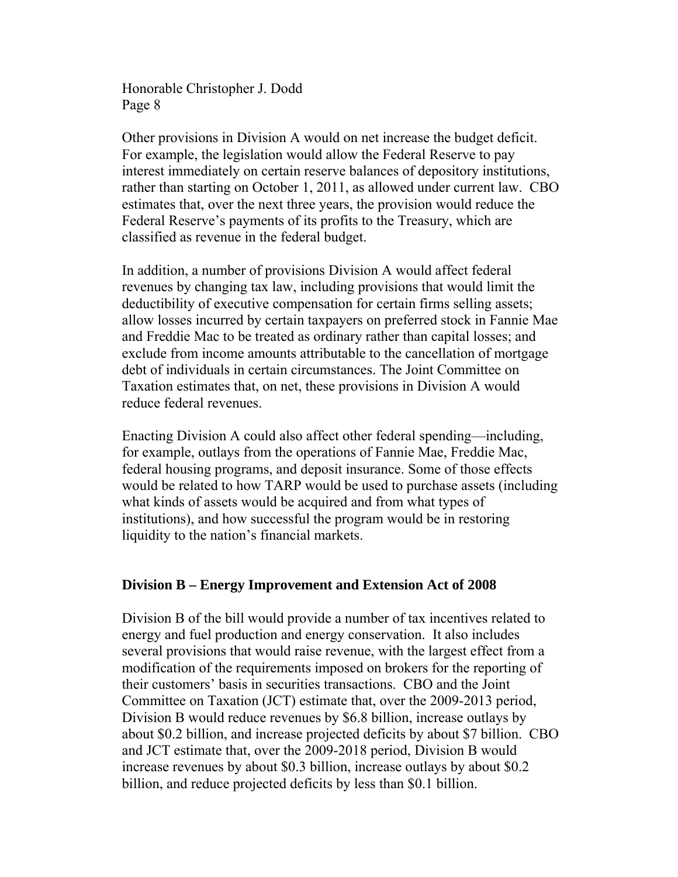Other provisions in Division A would on net increase the budget deficit. For example, the legislation would allow the Federal Reserve to pay interest immediately on certain reserve balances of depository institutions, rather than starting on October 1, 2011, as allowed under current law. CBO estimates that, over the next three years, the provision would reduce the Federal Reserve's payments of its profits to the Treasury, which are classified as revenue in the federal budget.

In addition, a number of provisions Division A would affect federal revenues by changing tax law, including provisions that would limit the deductibility of executive compensation for certain firms selling assets; allow losses incurred by certain taxpayers on preferred stock in Fannie Mae and Freddie Mac to be treated as ordinary rather than capital losses; and exclude from income amounts attributable to the cancellation of mortgage debt of individuals in certain circumstances. The Joint Committee on Taxation estimates that, on net, these provisions in Division A would reduce federal revenues.

Enacting Division A could also affect other federal spending—including, for example, outlays from the operations of Fannie Mae, Freddie Mac, federal housing programs, and deposit insurance. Some of those effects would be related to how TARP would be used to purchase assets (including what kinds of assets would be acquired and from what types of institutions), and how successful the program would be in restoring liquidity to the nation's financial markets.

### **Division B – Energy Improvement and Extension Act of 2008**

Division B of the bill would provide a number of tax incentives related to energy and fuel production and energy conservation. It also includes several provisions that would raise revenue, with the largest effect from a modification of the requirements imposed on brokers for the reporting of their customers' basis in securities transactions. CBO and the Joint Committee on Taxation (JCT) estimate that, over the 2009-2013 period, Division B would reduce revenues by \$6.8 billion, increase outlays by about \$0.2 billion, and increase projected deficits by about \$7 billion. CBO and JCT estimate that, over the 2009-2018 period, Division B would increase revenues by about \$0.3 billion, increase outlays by about \$0.2 billion, and reduce projected deficits by less than \$0.1 billion.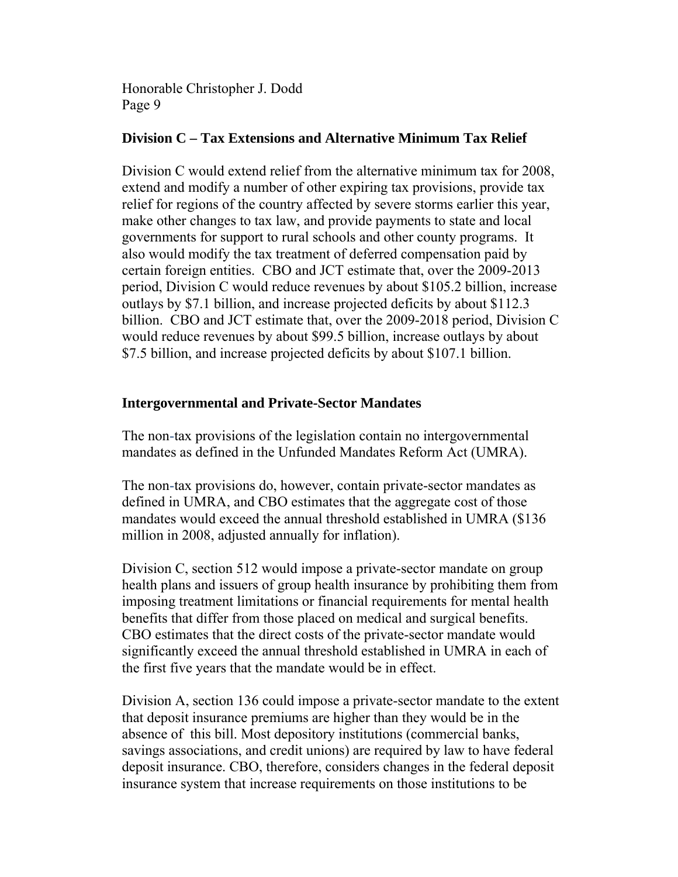## **Division C – Tax Extensions and Alternative Minimum Tax Relief**

Division C would extend relief from the alternative minimum tax for 2008, extend and modify a number of other expiring tax provisions, provide tax relief for regions of the country affected by severe storms earlier this year, make other changes to tax law, and provide payments to state and local governments for support to rural schools and other county programs. It also would modify the tax treatment of deferred compensation paid by certain foreign entities. CBO and JCT estimate that, over the 2009-2013 period, Division C would reduce revenues by about \$105.2 billion, increase outlays by \$7.1 billion, and increase projected deficits by about \$112.3 billion. CBO and JCT estimate that, over the 2009-2018 period, Division C would reduce revenues by about \$99.5 billion, increase outlays by about \$7.5 billion, and increase projected deficits by about \$107.1 billion.

### **Intergovernmental and Private-Sector Mandates**

The non-tax provisions of the legislation contain no intergovernmental mandates as defined in the Unfunded Mandates Reform Act (UMRA).

The non-tax provisions do, however, contain private-sector mandates as defined in UMRA, and CBO estimates that the aggregate cost of those mandates would exceed the annual threshold established in UMRA (\$136 million in 2008, adjusted annually for inflation).

Division C, section 512 would impose a private-sector mandate on group health plans and issuers of group health insurance by prohibiting them from imposing treatment limitations or financial requirements for mental health benefits that differ from those placed on medical and surgical benefits. CBO estimates that the direct costs of the private-sector mandate would significantly exceed the annual threshold established in UMRA in each of the first five years that the mandate would be in effect.

Division A, section 136 could impose a private-sector mandate to the extent that deposit insurance premiums are higher than they would be in the absence of this bill. Most depository institutions (commercial banks, savings associations, and credit unions) are required by law to have federal deposit insurance. CBO, therefore, considers changes in the federal deposit insurance system that increase requirements on those institutions to be